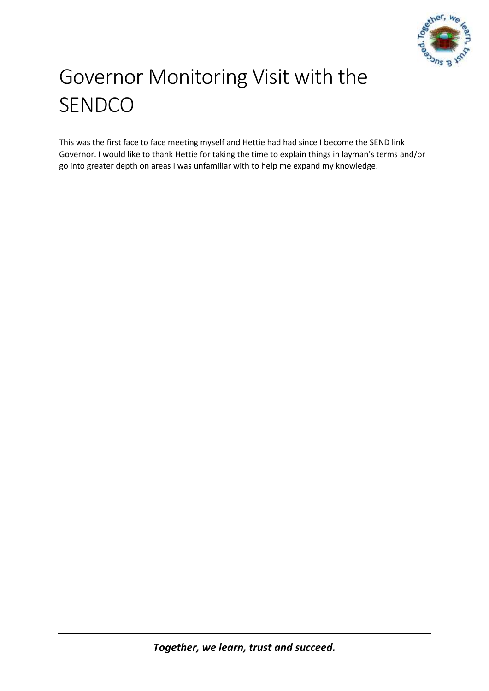

# Governor Monitoring Visit with the SENDCO

This was the first face to face meeting myself and Hettie had had since I become the SEND link Governor. I would like to thank Hettie for taking the time to explain things in layman's terms and/or go into greater depth on areas I was unfamiliar with to help me expand my knowledge.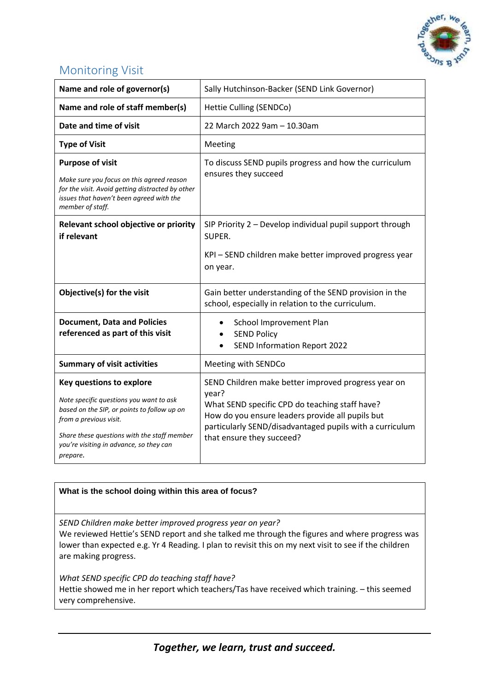

# Monitoring Visit

| Name and role of governor(s)                                                                                                                                                                                                                              | Sally Hutchinson-Backer (SEND Link Governor)                                                                                                                                                                                                                |
|-----------------------------------------------------------------------------------------------------------------------------------------------------------------------------------------------------------------------------------------------------------|-------------------------------------------------------------------------------------------------------------------------------------------------------------------------------------------------------------------------------------------------------------|
| Name and role of staff member(s)                                                                                                                                                                                                                          | Hettie Culling (SENDCo)                                                                                                                                                                                                                                     |
| Date and time of visit                                                                                                                                                                                                                                    | 22 March 2022 9am - 10.30am                                                                                                                                                                                                                                 |
| <b>Type of Visit</b>                                                                                                                                                                                                                                      | Meeting                                                                                                                                                                                                                                                     |
| <b>Purpose of visit</b><br>Make sure you focus on this agreed reason<br>for the visit. Avoid getting distracted by other<br>issues that haven't been agreed with the<br>member of staff.                                                                  | To discuss SEND pupils progress and how the curriculum<br>ensures they succeed                                                                                                                                                                              |
| Relevant school objective or priority<br>if relevant                                                                                                                                                                                                      | SIP Priority 2 - Develop individual pupil support through<br>SUPER.<br>KPI - SEND children make better improved progress year<br>on year.                                                                                                                   |
| Objective(s) for the visit                                                                                                                                                                                                                                | Gain better understanding of the SEND provision in the<br>school, especially in relation to the curriculum.                                                                                                                                                 |
| <b>Document, Data and Policies</b><br>referenced as part of this visit                                                                                                                                                                                    | School Improvement Plan<br>$\bullet$<br><b>SEND Policy</b><br>SEND Information Report 2022                                                                                                                                                                  |
| <b>Summary of visit activities</b>                                                                                                                                                                                                                        | Meeting with SENDCo                                                                                                                                                                                                                                         |
| <b>Key questions to explore</b><br>Note specific questions you want to ask<br>based on the SIP, or points to follow up on<br>from a previous visit.<br>Share these questions with the staff member<br>you're visiting in advance, so they can<br>prepare. | SEND Children make better improved progress year on<br>year?<br>What SEND specific CPD do teaching staff have?<br>How do you ensure leaders provide all pupils but<br>particularly SEND/disadvantaged pupils with a curriculum<br>that ensure they succeed? |

## **What is the school doing within this area of focus?**

*SEND Children make better improved progress year on year?*

We reviewed Hettie's SEND report and she talked me through the figures and where progress was lower than expected e.g. Yr 4 Reading. I plan to revisit this on my next visit to see if the children are making progress.

*What SEND specific CPD do teaching staff have?* Hettie showed me in her report which teachers/Tas have received which training. – this seemed very comprehensive.

*Together, we learn, trust and succeed.*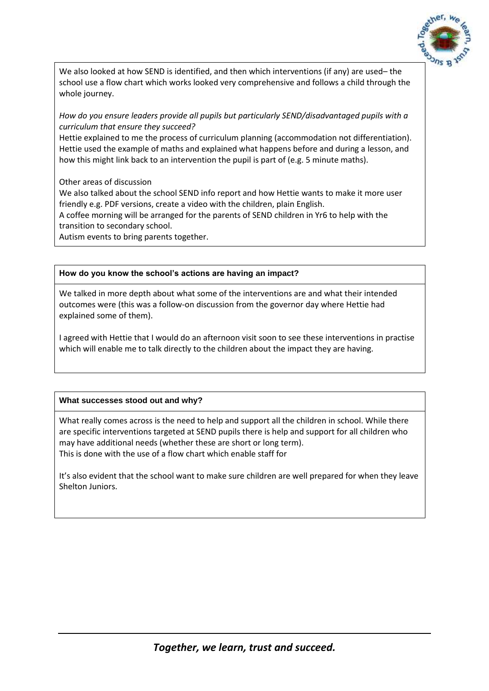

We also looked at how SEND is identified, and then which interventions (if any) are used– the school use a flow chart which works looked very comprehensive and follows a child through the whole journey.

*How do you ensure leaders provide all pupils but particularly SEND/disadvantaged pupils with a curriculum that ensure they succeed?*

Hettie explained to me the process of curriculum planning (accommodation not differentiation). Hettie used the example of maths and explained what happens before and during a lesson, and how this might link back to an intervention the pupil is part of (e.g. 5 minute maths).

Other areas of discussion

We also talked about the school SEND info report and how Hettie wants to make it more user friendly e.g. PDF versions, create a video with the children, plain English.

A coffee morning will be arranged for the parents of SEND children in Yr6 to help with the transition to secondary school.

Autism events to bring parents together.

**How do you know the school's actions are having an impact?** 

We talked in more depth about what some of the interventions are and what their intended outcomes were (this was a follow-on discussion from the governor day where Hettie had explained some of them).

I agreed with Hettie that I would do an afternoon visit soon to see these interventions in practise which will enable me to talk directly to the children about the impact they are having.

### **What successes stood out and why?**

What really comes across is the need to help and support all the children in school. While there are specific interventions targeted at SEND pupils there is help and support for all children who may have additional needs (whether these are short or long term). This is done with the use of a flow chart which enable staff for

It's also evident that the school want to make sure children are well prepared for when they leave Shelton Juniors.